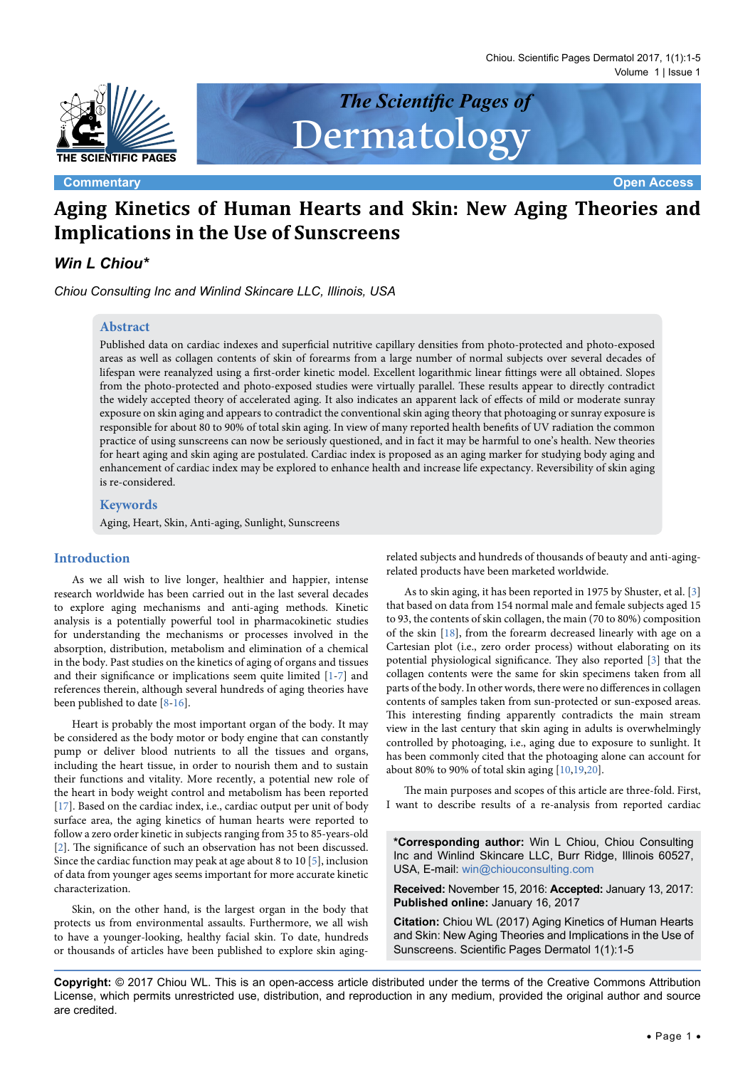Chiou. Scientific Pages Dermatol 2017, 1(1):1-5 Volume 1 | Issue 1



Dermatology

**Commentary <b>Commentary Open Access** 

# **Aging Kinetics of Human Hearts and Skin: New Aging Theories and Implications in the Use of Sunscreens**

*The Scientific Pages of* 

# *Win L Chiou\**

*Chiou Consulting Inc and Winlind Skincare LLC, Illinois, USA*

# **Abstract**

Published data on cardiac indexes and superficial nutritive capillary densities from photo-protected and photo-exposed areas as well as collagen contents of skin of forearms from a large number of normal subjects over several decades of lifespan were reanalyzed using a first-order kinetic model. Excellent logarithmic linear fittings were all obtained. Slopes from the photo-protected and photo-exposed studies were virtually parallel. These results appear to directly contradict the widely accepted theory of accelerated aging. It also indicates an apparent lack of effects of mild or moderate sunray exposure on skin aging and appears to contradict the conventional skin aging theory that photoaging or sunray exposure is responsible for about 80 to 90% of total skin aging. In view of many reported health benefits of UV radiation the common practice of using sunscreens can now be seriously questioned, and in fact it may be harmful to one's health. New theories for heart aging and skin aging are postulated. Cardiac index is proposed as an aging marker for studying body aging and enhancement of cardiac index may be explored to enhance health and increase life expectancy. Reversibility of skin aging is re-considered.

## **Keywords**

Aging, Heart, Skin, Anti-aging, Sunlight, Sunscreens

#### **Introduction**

As we all wish to live longer, healthier and happier, intense research worldwide has been carried out in the last several decades to explore aging mechanisms and anti-aging methods. Kinetic analysis is a potentially powerful tool in pharmacokinetic studies for understanding the mechanisms or processes involved in the absorption, distribution, metabolism and elimination of a chemical in the body. Past studies on the kinetics of aging of organs and tissues and their significance or implications seem quite limited [[1](#page-3-0)[-7\]](#page-3-1) and references therein, although several hundreds of aging theories have been published to date [[8](#page-3-2)-[16](#page-3-3)].

Heart is probably the most important organ of the body. It may be considered as the body motor or body engine that can constantly pump or deliver blood nutrients to all the tissues and organs, including the heart tissue, in order to nourish them and to sustain their functions and vitality. More recently, a potential new role of the heart in body weight control and metabolism has been reported [[17](#page-3-4)]. Based on the cardiac index, i.e., cardiac output per unit of body surface area, the aging kinetics of human hearts were reported to follow a zero order kinetic in subjects ranging from 35 to 85-years-old [[2\]](#page-3-5). The significance of such an observation has not been discussed. Since the cardiac function may peak at age about 8 to 10 [[5](#page-3-6)], inclusion of data from younger ages seems important for more accurate kinetic characterization.

Skin, on the other hand, is the largest organ in the body that protects us from environmental assaults. Furthermore, we all wish to have a younger-looking, healthy facial skin. To date, hundreds or thousands of articles have been published to explore skin agingrelated subjects and hundreds of thousands of beauty and anti-agingrelated products have been marketed worldwide.

As to skin aging, it has been reported in 1975 by Shuster, et al. [\[3\]](#page-3-7) that based on data from 154 normal male and female subjects aged 15 to 93, the contents of skin collagen, the main (70 to 80%) composition of the skin [\[18\]](#page-3-8), from the forearm decreased linearly with age on a Cartesian plot (i.e., zero order process) without elaborating on its potential physiological significance. They also reported [\[3\]](#page-3-7) that the collagen contents were the same for skin specimens taken from all parts of the body. In other words, there were no differences in collagen contents of samples taken from sun-protected or sun-exposed areas. This interesting finding apparently contradicts the main stream view in the last century that skin aging in adults is overwhelmingly controlled by photoaging, i.e., aging due to exposure to sunlight. It has been commonly cited that the photoaging alone can account for about 80% to 90% of total skin aging [\[10](#page-3-9)[,19,](#page-3-10)[20](#page-4-0)].

The main purposes and scopes of this article are three-fold. First, I want to describe results of a re-analysis from reported cardiac

**\*Corresponding author:** Win L Chiou, Chiou Consulting Inc and Winlind Skincare LLC, Burr Ridge, Illinois 60527, USA, E-mail: win@chiouconsulting.com

**Received:** November 15, 2016: **Accepted:** January 13, 2017: **Published online:** January 16, 2017

**Citation:** Chiou WL (2017) Aging Kinetics of Human Hearts and Skin: New Aging Theories and Implications in the Use of Sunscreens. Scientific Pages Dermatol 1(1):1-5

**Copyright:** © 2017 Chiou WL. This is an open-access article distributed under the terms of the Creative Commons Attribution License, which permits unrestricted use, distribution, and reproduction in any medium, provided the original author and source are credited.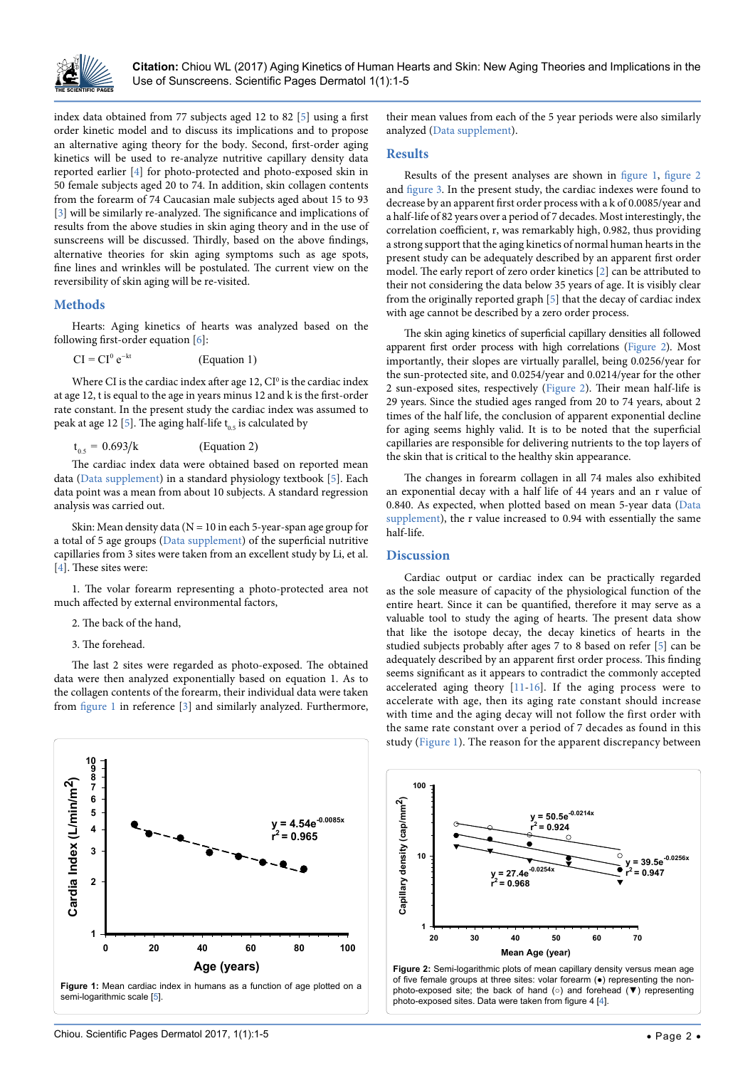

index data obtained from 77 subjects aged 12 to 82 [\[5](#page-3-6)] using a first order kinetic model and to discuss its implications and to propose an alternative aging theory for the body. Second, first-order aging kinetics will be used to re-analyze nutritive capillary density data reported earlier [[4](#page-3-11)] for photo-protected and photo-exposed skin in 50 female subjects aged 20 to 74. In addition, skin collagen contents from the forearm of 74 Caucasian male subjects aged about 15 to 93 [[3\]](#page-3-7) will be similarly re-analyzed. The significance and implications of results from the above studies in skin aging theory and in the use of sunscreens will be discussed. Thirdly, based on the above findings, alternative theories for skin aging symptoms such as age spots, fine lines and wrinkles will be postulated. The current view on the reversibility of skin aging will be re-visited.

### **Methods**

Hearts: Aging kinetics of hearts was analyzed based on the following first-order equation [[6](#page-3-12)]:

$$
CI = CI0 e-kt
$$
 (Equation 1)

Where CI is the cardiac index after age  $12$ ,  $CI<sup>0</sup>$  is the cardiac index at age 12, t is equal to the age in years minus 12 and k is the first-order rate constant. In the present study the cardiac index was assumed to peak at age 12 [\[5](#page-3-6)]. The aging half-life  $t_{0.5}$  is calculated by

$$
t_{0.5} = 0.693/k
$$
 (Equation 2)

The cardiac index data were obtained based on reported mean data ([Data supplement\)](http://thescientificpages.org/Articles/ tspdr/tspdr-1-001-data-supplements.docx) in a standard physiology textbook [[5](#page-3-6)]. Each data point was a mean from about 10 subjects. A standard regression analysis was carried out.

Skin: Mean density data ( $N = 10$  in each 5-year-span age group for a total of 5 age groups ([Data supplement\)](http://thescientificpages.org/Articles/ tspdr/tspdr-1-001-data-supplements.docx) of the superficial nutritive capillaries from 3 sites were taken from an excellent study by Li, et al. [[4\]](#page-3-11). These sites were:

1. The volar forearm representing a photo-protected area not much affected by external environmental factors,

2. The back of the hand,

3. The forehead.

The last 2 sites were regarded as photo-exposed. The obtained data were then analyzed exponentially based on equation 1. As to the collagen contents of the forearm, their individual data were taken from [figure 1](#page-1-0) in reference [\[3](#page-3-7)] and similarly analyzed. Furthermore,

<span id="page-1-0"></span>

their mean values from each of the 5 year periods were also similarly analyzed [\(Data supplement](http://thescientificpages.org/Articles/ tspdr/tspdr-1-001-data-supplements.docx)).

# **Results**

Results of the present analyses are shown in [figure 1](#page-1-0), [figure 2](#page-1-1) and [figure 3](#page-2-0). In the present study, the cardiac indexes were found to decrease by an apparent first order process with a k of 0.0085/year and a half-life of 82 years over a period of 7 decades. Most interestingly, the correlation coefficient, r, was remarkably high, 0.982, thus providing a strong support that the aging kinetics of normal human hearts in the present study can be adequately described by an apparent first order model. The early report of zero order kinetics [[2](#page-3-5)] can be attributed to their not considering the data below 35 years of age. It is visibly clear from the originally reported graph [[5](#page-3-6)] that the decay of cardiac index with age cannot be described by a zero order process.

The skin aging kinetics of superficial capillary densities all followed apparent first order process with high correlations [\(Figure 2](#page-1-1)). Most importantly, their slopes are virtually parallel, being 0.0256/year for the sun-protected site, and 0.0254/year and 0.0214/year for the other 2 sun-exposed sites, respectively ([Figure 2\)](#page-1-1). Their mean half-life is 29 years. Since the studied ages ranged from 20 to 74 years, about 2 times of the half life, the conclusion of apparent exponential decline for aging seems highly valid. It is to be noted that the superficial capillaries are responsible for delivering nutrients to the top layers of the skin that is critical to the healthy skin appearance.

The changes in forearm collagen in all 74 males also exhibited an exponential decay with a half life of 44 years and an r value of 0.840. As expected, when plotted based on mean 5-year data [\(Data](http://thescientificpages.org/Articles/ tspdr/tspdr-1-001-data-supplements.docx)  [supplement](http://thescientificpages.org/Articles/ tspdr/tspdr-1-001-data-supplements.docx)), the r value increased to 0.94 with essentially the same half-life.

#### **Discussion**

Cardiac output or cardiac index can be practically regarded as the sole measure of capacity of the physiological function of the entire heart. Since it can be quantified, therefore it may serve as a valuable tool to study the aging of hearts. The present data show that like the isotope decay, the decay kinetics of hearts in the studied subjects probably after ages 7 to 8 based on refer [[5](#page-3-6)] can be adequately described by an apparent first order process. This finding seems significant as it appears to contradict the commonly accepted accelerated aging theory [\[11](#page-3-13)[-16\]](#page-3-3). If the aging process were to accelerate with age, then its aging rate constant should increase with time and the aging decay will not follow the first order with the same rate constant over a period of 7 decades as found in this study ([Figure 1\)](#page-1-0). The reason for the apparent discrepancy between

<span id="page-1-1"></span>

of five female groups at three sites: volar forearm (●) representing the nonphoto-exposed site; the back of hand (○) and forehead (▼) representing photo-exposed sites. Data were taken from figure 4 [[4](#page-3-11)].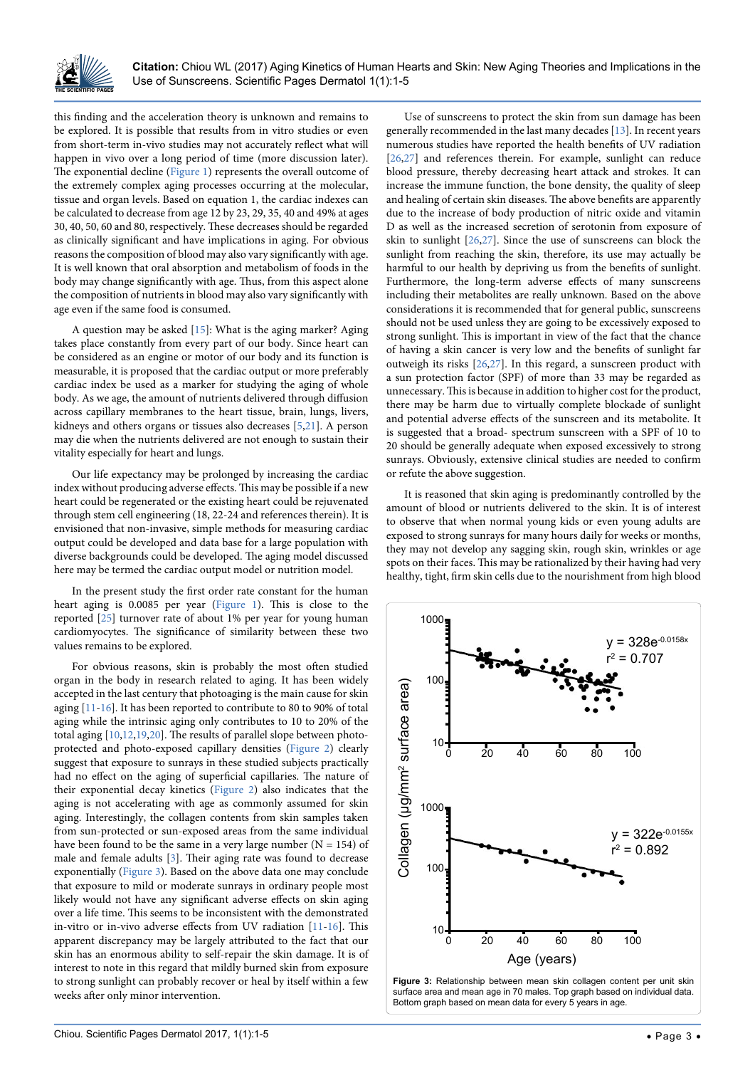

this finding and the acceleration theory is unknown and remains to be explored. It is possible that results from in vitro studies or even from short-term in-vivo studies may not accurately reflect what will happen in vivo over a long period of time (more discussion later). The exponential decline [\(Figure 1](#page-1-0)) represents the overall outcome of the extremely complex aging processes occurring at the molecular, tissue and organ levels. Based on equation 1, the cardiac indexes can be calculated to decrease from age 12 by 23, 29, 35, 40 and 49% at ages 30, 40, 50, 60 and 80, respectively. These decreases should be regarded as clinically significant and have implications in aging. For obvious reasons the composition of blood may also vary significantly with age. It is well known that oral absorption and metabolism of foods in the body may change significantly with age. Thus, from this aspect alone the composition of nutrients in blood may also vary significantly with age even if the same food is consumed.

A question may be asked [\[15](#page-3-15)]: What is the aging marker? Aging takes place constantly from every part of our body. Since heart can be considered as an engine or motor of our body and its function is measurable, it is proposed that the cardiac output or more preferably cardiac index be used as a marker for studying the aging of whole body. As we age, the amount of nutrients delivered through diffusion across capillary membranes to the heart tissue, brain, lungs, livers, kidneys and others organs or tissues also decreases [\[5,](#page-3-6)[21](#page-4-3)]. A person may die when the nutrients delivered are not enough to sustain their vitality especially for heart and lungs.

Our life expectancy may be prolonged by increasing the cardiac index without producing adverse effects. This may be possible if a new heart could be regenerated or the existing heart could be rejuvenated through stem cell engineering (18, 22-24 and references therein). It is envisioned that non-invasive, simple methods for measuring cardiac output could be developed and data base for a large population with diverse backgrounds could be developed. The aging model discussed here may be termed the cardiac output model or nutrition model.

In the present study the first order rate constant for the human heart aging is 0.0085 per year [\(Figure 1\)](#page-1-0). This is close to the reported [[25](#page-4-4)] turnover rate of about 1% per year for young human cardiomyocytes. The significance of similarity between these two values remains to be explored.

For obvious reasons, skin is probably the most often studied organ in the body in research related to aging. It has been widely accepted in the last century that photoaging is the main cause for skin aging [\[11](#page-3-13)[-16\]](#page-3-3). It has been reported to contribute to 80 to 90% of total aging while the intrinsic aging only contributes to 10 to 20% of the total aging [[10](#page-3-9),[12](#page-3-16)[,19,](#page-3-10)[20\]](#page-4-0). The results of parallel slope between photoprotected and photo-exposed capillary densities ([Figure 2](#page-1-1)) clearly suggest that exposure to sunrays in these studied subjects practically had no effect on the aging of superficial capillaries. The nature of their exponential decay kinetics ([Figure 2](#page-1-1)) also indicates that the aging is not accelerating with age as commonly assumed for skin aging. Interestingly, the collagen contents from skin samples taken from sun-protected or sun-exposed areas from the same individual have been found to be the same in a very large number ( $N = 154$ ) of male and female adults [\[3\]](#page-3-7). Their aging rate was found to decrease exponentially ([Figure 3\)](#page-2-0). Based on the above data one may conclude that exposure to mild or moderate sunrays in ordinary people most likely would not have any significant adverse effects on skin aging over a life time. This seems to be inconsistent with the demonstrated in-vitro or in-vivo adverse effects from UV radiation [\[11](#page-3-13)[-16\]](#page-3-3). This apparent discrepancy may be largely attributed to the fact that our skin has an enormous ability to self-repair the skin damage. It is of interest to note in this regard that mildly burned skin from exposure to strong sunlight can probably recover or heal by itself within a few weeks after only minor intervention.

Use of sunscreens to protect the skin from sun damage has been generally recommended in the last many decades [[13](#page-3-14)]. In recent years numerous studies have reported the health benefits of UV radiation [[26](#page-4-1),[27](#page-4-2)] and references therein. For example, sunlight can reduce blood pressure, thereby decreasing heart attack and strokes. It can increase the immune function, the bone density, the quality of sleep and healing of certain skin diseases. The above benefits are apparently due to the increase of body production of nitric oxide and vitamin D as well as the increased secretion of serotonin from exposure of skin to sunlight [\[26](#page-4-1)[,27\]](#page-4-2). Since the use of sunscreens can block the sunlight from reaching the skin, therefore, its use may actually be harmful to our health by depriving us from the benefits of sunlight. Furthermore, the long-term adverse effects of many sunscreens including their metabolites are really unknown. Based on the above considerations it is recommended that for general public, sunscreens should not be used unless they are going to be excessively exposed to strong sunlight. This is important in view of the fact that the chance of having a skin cancer is very low and the benefits of sunlight far outweigh its risks [[26](#page-4-1)[,27\]](#page-4-2). In this regard, a sunscreen product with a sun protection factor (SPF) of more than 33 may be regarded as unnecessary. This is because in addition to higher cost for the product, there may be harm due to virtually complete blockade of sunlight and potential adverse effects of the sunscreen and its metabolite. It is suggested that a broad- spectrum sunscreen with a SPF of 10 to 20 should be generally adequate when exposed excessively to strong sunrays. Obviously, extensive clinical studies are needed to confirm or refute the above suggestion.

It is reasoned that skin aging is predominantly controlled by the amount of blood or nutrients delivered to the skin. It is of interest to observe that when normal young kids or even young adults are exposed to strong sunrays for many hours daily for weeks or months, they may not develop any sagging skin, rough skin, wrinkles or age spots on their faces. This may be rationalized by their having had very healthy, tight, firm skin cells due to the nourishment from high blood

<span id="page-2-0"></span>

**Figure 3:** Relationship between mean skin collagen content per unit skin surface area and mean age in 70 males. Top graph based on individual data. Bottom graph based on mean data for every 5 years in age.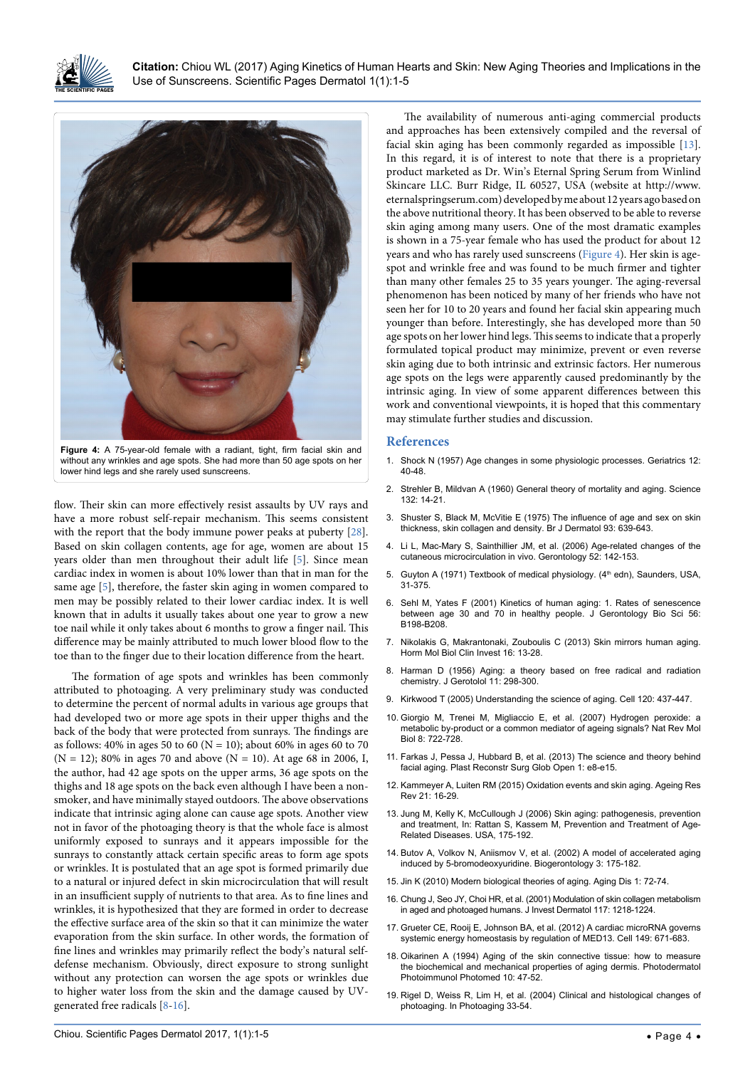

**Citation:** Chiou WL (2017) Aging Kinetics of Human Hearts and Skin: New Aging Theories and Implications in the Use of Sunscreens. Scientific Pages Dermatol 1(1):1-5

<span id="page-3-17"></span>

flow. Their skin can more effectively resist assaults by UV rays and have a more robust self-repair mechanism. This seems consistent with the report that the body immune power peaks at puberty [[28](#page-4-5)]. Based on skin collagen contents, age for age, women are about 15 years older than men throughout their adult life [\[5](#page-3-6)]. Since mean cardiac index in women is about 10% lower than that in man for the same age [[5](#page-3-6)], therefore, the faster skin aging in women compared to men may be possibly related to their lower cardiac index. It is well known that in adults it usually takes about one year to grow a new toe nail while it only takes about 6 months to grow a finger nail. This difference may be mainly attributed to much lower blood flow to the toe than to the finger due to their location difference from the heart.

The formation of age spots and wrinkles has been commonly attributed to photoaging. A very preliminary study was conducted to determine the percent of normal adults in various age groups that had developed two or more age spots in their upper thighs and the back of the body that were protected from sunrays. The findings are as follows: 40% in ages 50 to 60 ( $N = 10$ ); about 60% in ages 60 to 70  $(N = 12)$ ; 80% in ages 70 and above  $(N = 10)$ . At age 68 in 2006, I, the author, had 42 age spots on the upper arms, 36 age spots on the thighs and 18 age spots on the back even although I have been a nonsmoker, and have minimally stayed outdoors. The above observations indicate that intrinsic aging alone can cause age spots. Another view not in favor of the photoaging theory is that the whole face is almost uniformly exposed to sunrays and it appears impossible for the sunrays to constantly attack certain specific areas to form age spots or wrinkles. It is postulated that an age spot is formed primarily due to a natural or injured defect in skin microcirculation that will result in an insufficient supply of nutrients to that area. As to fine lines and wrinkles, it is hypothesized that they are formed in order to decrease the effective surface area of the skin so that it can minimize the water evaporation from the skin surface. In other words, the formation of fine lines and wrinkles may primarily reflect the body's natural selfdefense mechanism. Obviously, direct exposure to strong sunlight without any protection can worsen the age spots or wrinkles due to higher water loss from the skin and the damage caused by UVgenerated free radicals [[8](#page-3-2)[-16\]](#page-3-3).

The availability of numerous anti-aging commercial products and approaches has been extensively compiled and the reversal of facial skin aging has been commonly regarded as impossible [[13\]](#page-3-14). In this regard, it is of interest to note that there is a proprietary product marketed as Dr. Win's Eternal Spring Serum from Winlind Skincare LLC. Burr Ridge, IL 60527, USA (website at [http://www.](http://www.eternalspringserum.com) [eternalspringserum.com\)](http://www.eternalspringserum.com) developed by me about 12 years ago based on the above nutritional theory. It has been observed to be able to reverse skin aging among many users. One of the most dramatic examples is shown in a 75-year female who has used the product for about 12 years and who has rarely used sunscreens [\(Figure 4](#page-3-17)). Her skin is agespot and wrinkle free and was found to be much firmer and tighter than many other females 25 to 35 years younger. The aging-reversal phenomenon has been noticed by many of her friends who have not seen her for 10 to 20 years and found her facial skin appearing much younger than before. Interestingly, she has developed more than 50 age spots on her lower hind legs. This seems to indicate that a properly formulated topical product may minimize, prevent or even reverse skin aging due to both intrinsic and extrinsic factors. Her numerous age spots on the legs were apparently caused predominantly by the intrinsic aging. In view of some apparent differences between this work and conventional viewpoints, it is hoped that this commentary may stimulate further studies and discussion.

#### **References**

- <span id="page-3-0"></span>1. [Shock N \(1957\) Age changes in some physiologic processes. Geriatrics 12:](https://www.ncbi.nlm.nih.gov/pubmed/13397761)  [40-48.](https://www.ncbi.nlm.nih.gov/pubmed/13397761)
- <span id="page-3-5"></span>2. [Strehler B, Mildvan A \(1960\) General theory of mortality and aging. Science](https://www.ncbi.nlm.nih.gov/pubmed/13835176)  [132: 14-21.](https://www.ncbi.nlm.nih.gov/pubmed/13835176)
- <span id="page-3-7"></span>3. [Shuster S, Black M, McVitie E \(1975\) The influence of age and sex on skin](https://www.ncbi.nlm.nih.gov/pubmed/1220811)  [thickness, skin collagen and density. Br J Dermatol 93: 639-643.](https://www.ncbi.nlm.nih.gov/pubmed/1220811)
- <span id="page-3-11"></span>4. Li L, Mac-Mary S, Sainthillier JM, et al. (2006) Age-related changes of the cutaneous microcirculation in vivo. Gerontology 52: 142-153.
- <span id="page-3-6"></span>5. Guyton A (1971) Textbook of medical physiology. (4<sup>th</sup> edn), Saunders, USA, 31-375.
- <span id="page-3-12"></span>6. [Sehl M, Yates F \(2001\) Kinetics of human aging: 1. Rates of senescence](https://www.ncbi.nlm.nih.gov/pubmed/11320100)  [between age 30 and 70 in healthy people. J Gerontology Bio Sci 56:](https://www.ncbi.nlm.nih.gov/pubmed/11320100)  [B198-B208.](https://www.ncbi.nlm.nih.gov/pubmed/11320100)
- <span id="page-3-1"></span>7. [Nikolakis G, Makrantonaki, Zouboulis C \(2013\) Skin mirrors human aging.](https://www.ncbi.nlm.nih.gov/pubmed/25436743)  [Horm Mol Biol Clin Invest 16: 13-28.](https://www.ncbi.nlm.nih.gov/pubmed/25436743)
- <span id="page-3-2"></span>8. [Harman D \(1956\) Aging: a theory based on free radical and radiation](https://www.ncbi.nlm.nih.gov/pubmed/13332224)  [chemistry. J Gerotolol 11: 298-300.](https://www.ncbi.nlm.nih.gov/pubmed/13332224)
- 9. [Kirkwood T \(2005\) Understanding the science of aging. Cell 120: 437-447.](https://www.ncbi.nlm.nih.gov/pubmed/15734677)
- <span id="page-3-9"></span>10. [Giorgio M, Trenei M, Migliaccio E, et al. \(2007\) Hydrogen peroxide: a](https://www.ncbi.nlm.nih.gov/pubmed/17700625)  [metabolic by-product or a common mediator of ageing signals? Nat Rev Mol](https://www.ncbi.nlm.nih.gov/pubmed/17700625)  [Biol 8: 722-728.](https://www.ncbi.nlm.nih.gov/pubmed/17700625)
- <span id="page-3-13"></span>11. [Farkas J, Pessa J, Hubbard B, et al. \(2013\) The science and theory behind](https://www.ncbi.nlm.nih.gov/pubmed/25289202)  [facial aging. Plast Reconstr Surg Glob Open 1: e8-e15.](https://www.ncbi.nlm.nih.gov/pubmed/25289202)
- <span id="page-3-16"></span>12. [Kammeyer A, Luiten RM \(2015\) Oxidation events and skin aging. Ageing Res](https://www.ncbi.nlm.nih.gov/pubmed/25653189)  [Rev 21: 16-29.](https://www.ncbi.nlm.nih.gov/pubmed/25653189)
- <span id="page-3-14"></span>13. Jung M, Kelly K, McCullough J (2006) Skin aging: pathogenesis, prevention and treatment, In: Rattan S, Kassem M, Prevention and Treatment of Age-Related Diseases. USA, 175-192.
- 14. [Butov A, Volkov N, Aniismov V, et al. \(2002\) A model of accelerated aging](https://www.ncbi.nlm.nih.gov/pubmed/12075136)  [induced by 5-bromodeoxyuridine. Biogerontology 3: 175-182.](https://www.ncbi.nlm.nih.gov/pubmed/12075136)
- <span id="page-3-15"></span>15. [Jin K \(2010\) Modern biological theories of aging. Aging Dis 1: 72-74.](https://www.ncbi.nlm.nih.gov/pmc/articles/PMC2995895/)
- <span id="page-3-3"></span>16. [Chung J, Seo JY, Choi HR, et al. \(2001\) Modulation of skin collagen metabolism](https://www.ncbi.nlm.nih.gov/pubmed/11710936)  [in aged and photoaged humans. J Invest Dermatol 117: 1218-1224.](https://www.ncbi.nlm.nih.gov/pubmed/11710936)
- <span id="page-3-4"></span>17. [Grueter CE, Rooij E, Johnson BA, et al. \(2012\) A cardiac microRNA governs](https://www.ncbi.nlm.nih.gov/pubmed/22541436)  [systemic energy homeostasis by regulation of MED13. Cell 149: 671-683.](https://www.ncbi.nlm.nih.gov/pubmed/22541436)
- <span id="page-3-8"></span>18. [Oikarinen A \(1994\) Aging of the skin connective tissue: how to measure](https://www.ncbi.nlm.nih.gov/pubmed/8043384)  [the biochemical and mechanical properties of aging dermis. Photodermatol](https://www.ncbi.nlm.nih.gov/pubmed/8043384)  [Photoimmunol Photomed 10: 47-52.](https://www.ncbi.nlm.nih.gov/pubmed/8043384)
- <span id="page-3-10"></span>19. Rigel D, Weiss R, Lim H, et al. (2004) Clinical and histological changes of photoaging. In Photoaging 33-54.